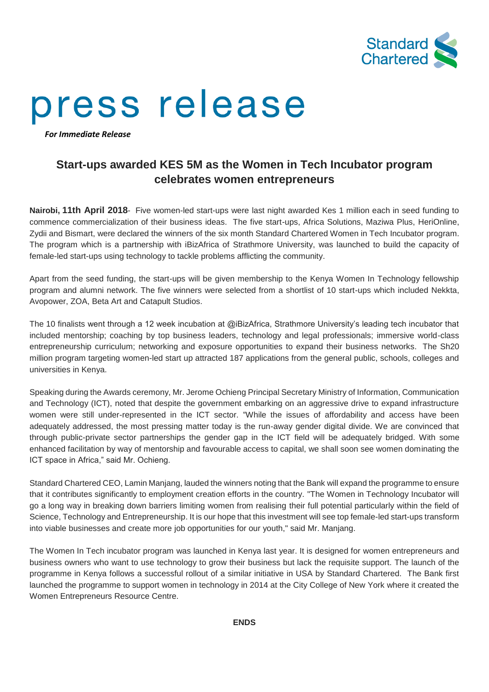

## press release

*For Immediate Release*

## **Start-ups awarded KES 5M as the Women in Tech Incubator program celebrates women entrepreneurs**

**Nairobi, 11th April 2018**- Five women-led start-ups were last night awarded Kes 1 million each in seed funding to commence commercialization of their business ideas. The five start-ups, Africa Solutions, Maziwa Plus, HeriOnline, Zydii and Bismart, were declared the winners of the six month Standard Chartered Women in Tech Incubator program. The program which is a partnership with iBizAfrica of Strathmore University, was launched to build the capacity of female-led start-ups using technology to tackle problems afflicting the community.

Apart from the seed funding, the start-ups will be given membership to the Kenya Women In Technology fellowship program and alumni network. The five winners were selected from a shortlist of 10 start-ups which included Nekkta, Avopower, ZOA, Beta Art and Catapult Studios.

The 10 finalists went through a 12 week incubation at @iBizAfrica, Strathmore University's leading tech incubator that included mentorship; coaching by top business leaders, technology and legal professionals; immersive world-class entrepreneurship curriculum; networking and exposure opportunities to expand their business networks. The Sh20 million program targeting women-led start up attracted 187 applications from the general public, schools, colleges and universities in Kenya.

Speaking during the Awards ceremony, Mr. Jerome Ochieng Principal Secretary Ministry of Information, Communication and Technology (ICT), noted that despite the government embarking on an aggressive drive to expand infrastructure women were still under-represented in the ICT sector. "While the issues of affordability and access have been adequately addressed, the most pressing matter today is the run-away gender digital divide. We are convinced that through public-private sector partnerships the gender gap in the ICT field will be adequately bridged. With some enhanced facilitation by way of mentorship and favourable access to capital, we shall soon see women dominating the ICT space in Africa," said Mr. Ochieng.

Standard Chartered CEO, Lamin Manjang, lauded the winners noting that the Bank will expand the programme to ensure that it contributes significantly to employment creation efforts in the country. "The Women in Technology Incubator will go a long way in breaking down barriers limiting women from realising their full potential particularly within the field of Science, Technology and Entrepreneurship. It is our hope that this investment will see top female-led start-ups transform into viable businesses and create more job opportunities for our youth," said Mr. Manjang.

The Women In Tech incubator program was launched in Kenya last year. It is designed for women entrepreneurs and business owners who want to use technology to grow their business but lack the requisite support. The launch of the programme in Kenya follows a successful rollout of a similar initiative in USA by Standard Chartered. The Bank first launched the programme to support women in technology in 2014 at the City College of New York where it created the Women Entrepreneurs Resource Centre.